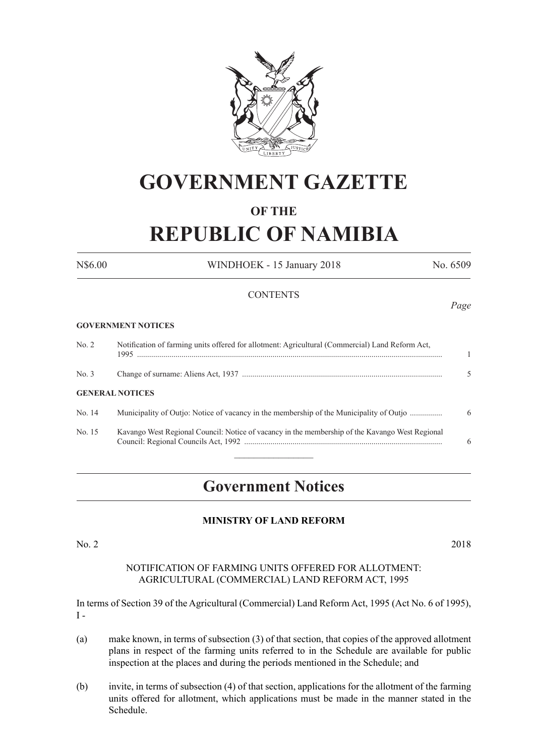

# **GOVERNMENT GAZETTE**

### **OF THE**

# **REPUBLIC OF NAMIBIA**

N\$6.00 WINDHOEK - 15 January 2018 No. 6509

*Page*

### **CONTENTS**

### **GOVERNMENT NOTICES**

| No. 2  | Notification of farming units offered for allotment: Agricultural (Commercial) Land Reform Act. |   |
|--------|-------------------------------------------------------------------------------------------------|---|
| No. 3  |                                                                                                 |   |
|        | <b>GENERAL NOTICES</b>                                                                          |   |
| No. 14 | Municipality of Outjo: Notice of vacancy in the membership of the Municipality of Outjo         | 6 |
| No. 15 | Kavango West Regional Council: Notice of vacancy in the membership of the Kavango West Regional | 6 |

## **Government Notices**

### **MINISTRY OF LAND REFORM**

No. 2 2018

### NOTIFICATION OF FARMING UNITS OFFERED FOR ALLOTMENT: AGRICULTURAL (COMMERCIAL) LAND REFORM ACT, 1995

In terms of Section 39 of the Agricultural (Commercial) Land Reform Act, 1995 (Act No. 6 of 1995),  $I -$ 

- (a) make known, in terms of subsection (3) of that section, that copies of the approved allotment plans in respect of the farming units referred to in the Schedule are available for public inspection at the places and during the periods mentioned in the Schedule; and
- (b) invite, in terms of subsection (4) of that section, applications for the allotment of the farming units offered for allotment, which applications must be made in the manner stated in the Schedule.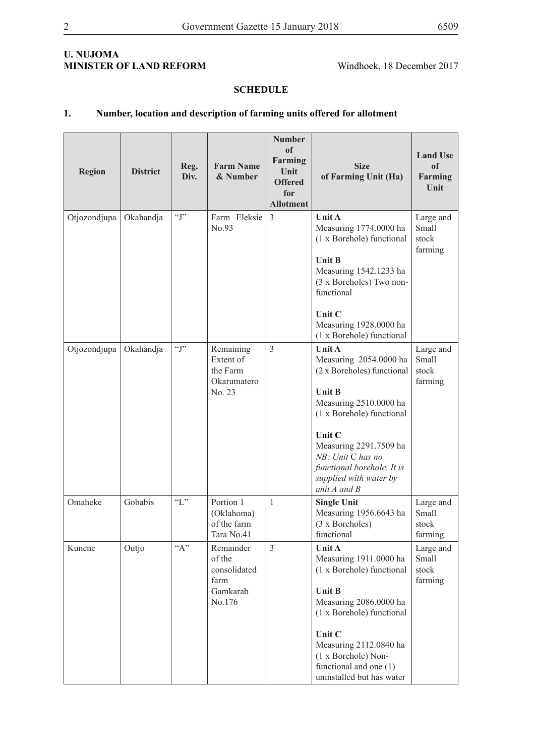### **U. NUJOMA MINISTER OF LAND REFORM** Windhoek, 18 December 2017

### **SCHEDULE**

### **1. Number, location and description of farming units offered for allotment**

| <b>Region</b> | <b>District</b> | Reg.<br>Div. | <b>Farm Name</b><br>& Number                                      | <b>Number</b><br>of<br>Farming<br>Unit<br><b>Offered</b><br>for<br><b>Allotment</b> | <b>Size</b><br>of Farming Unit (Ha)                                                                                                                                                                                                                                                | <b>Land Use</b><br>of<br>Farming<br>Unit |
|---------------|-----------------|--------------|-------------------------------------------------------------------|-------------------------------------------------------------------------------------|------------------------------------------------------------------------------------------------------------------------------------------------------------------------------------------------------------------------------------------------------------------------------------|------------------------------------------|
| Otjozondjupa  | Okahandja       | $\lq\lq$ .   | Farm Eleksie<br>No.93                                             | $\overline{3}$                                                                      | Unit A<br>Measuring 1774.0000 ha<br>(1 x Borehole) functional<br><b>Unit B</b><br>Measuring 1542.1233 ha<br>(3 x Boreholes) Two non-<br>functional<br>Unit C<br>Measuring 1928.0000 ha<br>(1 x Borehole) functional                                                                | Large and<br>Small<br>stock<br>farming   |
| Otjozondjupa  | Okahandja       | $\lq\lq$ .   | Remaining<br>Extent of<br>the Farm<br>Okarumatero<br>No. 23       | $\overline{3}$                                                                      | <b>Unit A</b><br>Measuring 2054.0000 ha<br>(2 x Boreholes) functional<br><b>Unit B</b><br>Measuring 2510.0000 ha<br>(1 x Borehole) functional<br>Unit C<br>Measuring 2291.7509 ha<br>NB: Unit C has no<br>functional borehole. It is<br>supplied with water by<br>unit $A$ and $B$ | Large and<br>Small<br>stock<br>farming   |
| Omaheke       | Gobabis         | $\lq\lq L$ " | Portion 1<br>(Oklahoma)<br>of the farm<br>Tara No.41              | $\mathbf{1}$                                                                        | <b>Single Unit</b><br>Measuring 1956.6643 ha<br>(3 x Boreholes)<br>functional                                                                                                                                                                                                      | Large and<br>Small<br>stock<br>farming   |
| Kunene        | Outjo           | $``A"$       | Remainder<br>of the<br>consolidated<br>farm<br>Gamkarab<br>No.176 | 3                                                                                   | <b>Unit A</b><br>Measuring 1911.0000 ha<br>(1 x Borehole) functional<br><b>Unit B</b><br>Measuring 2086.0000 ha<br>(1 x Borehole) functional<br>Unit C<br>Measuring 2112.0840 ha<br>(1 x Borehole) Non-<br>functional and one $(1)$<br>uninstalled but has water                   | Large and<br>Small<br>stock<br>farming   |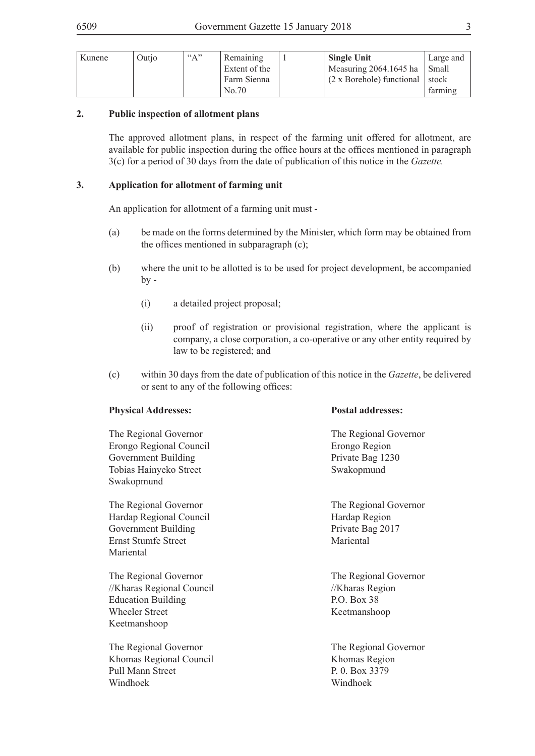| Kunene | Outio | $A^{\prime\prime}$ | Remaining     | <b>Single Unit</b>               | Large and |
|--------|-------|--------------------|---------------|----------------------------------|-----------|
|        |       |                    | Extent of the | Measuring 2064.1645 ha           | Small     |
|        |       |                    | Farm Sienna   | $(2 \times Borehole)$ functional | ' stock   |
|        |       |                    | No.70         |                                  | farming   |

### **2. Public inspection of allotment plans**

The approved allotment plans, in respect of the farming unit offered for allotment, are available for public inspection during the office hours at the offices mentioned in paragraph 3(c) for a period of 30 days from the date of publication of this notice in the *Gazette.*

### **3. Application for allotment of farming unit**

An application for allotment of a farming unit must -

- (a) be made on the forms determined by the Minister, which form may be obtained from the offices mentioned in subparagraph (c);
- (b) where the unit to be allotted is to be used for project development, be accompanied  $by -$ 
	- (i) a detailed project proposal;
	- (ii) proof of registration or provisional registration, where the applicant is company, a close corporation, a co-operative or any other entity required by law to be registered; and
- (c) within 30 days from the date of publication of this notice in the *Gazette*, be delivered or sent to any of the following offices:

### **Physical Addresses: Postal addresses:**

The Regional Governor The Regional Governor Erongo Regional Council Erongo Region Government Building Private Bag 1230 Tobias Hainyeko Street Swakopmund Swakopmund

Hardap Regional Council Hardap Region Government Building Private Bag 2017 Ernst Stumfe Street Mariental Mariental

The Regional Governor The Regional Governor //Kharas Regional Council //Kharas Region Education Building P.O. Box 38 Wheeler Street Keetmanshoop Keetmanshoop

The Regional Governor<br>The Regional Governor Khomas Regional Council Khomas Region Pull Mann Street P. 0. Box 3379 Windhoek Windhoek

The Regional Governor<br>The Regional Governor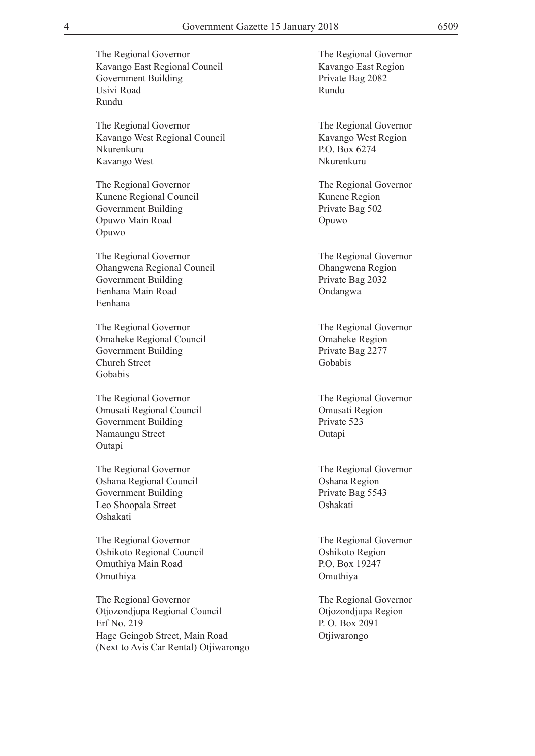The Regional Governor The Regional Governor Kavango West Regional Council Kavango West Region Nkurenkuru P.O. Box 6274 Kavango West Nkurenkuru

The Regional Governor<br>The Regional Governor Kunene Regional Council Kunene Region Government Building Private Bag 502 Opuwo Main Road Opuwo Opuwo

The Regional Governor The Regional Governor Ohangwena Regional Council Ohangwena Region Government Building Private Bag 2032 Eenhana Main Road **Ondangwa** Eenhana

The Regional Governor The Regional Governor Omaheke Regional Council Omaheke Region Government Building Private Bag 2277 Church Street Gobabis Gobabis

The Regional Governor The Regional Governor Omusati Regional Council Omusati Region Government Building Private 523 Namaungu Street Outapi Outapi

The Regional Governor The Regional Governor Oshana Regional Council Oshana Region Government Building Private Bag 5543 Leo Shoopala Street Oshakati Oshakati

The Regional Governor The Regional Governor Oshikoto Regional Council Oshikoto Region Omuthiya Main Road P.O. Box 19247 Omuthiya Omuthiya

The Regional Governor The Regional Governor Otjozondjupa Regional Council Otjozondjupa Region Erf No. 219 P. O. Box 2091 Hage Geingob Street, Main Road Otjiwarongo (Next to Avis Car Rental) Otjiwarongo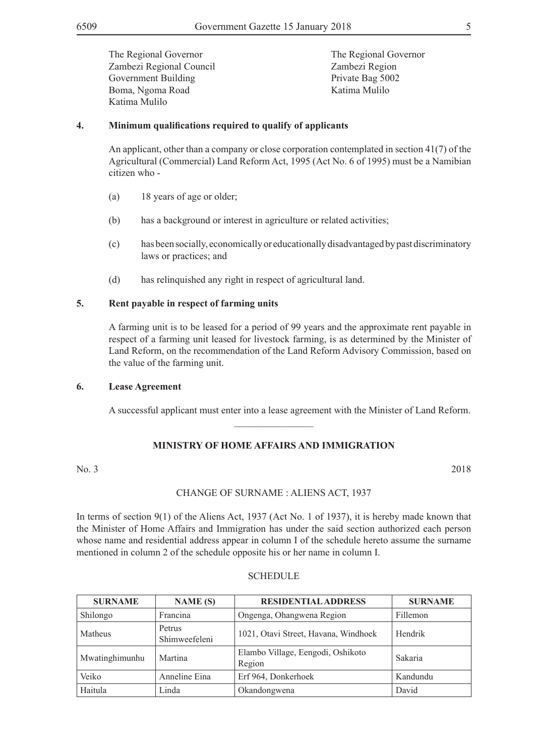The Regional Governor<br>The Regional Governor Zambezi Regional Council Zambezi Region Government Building Private Bag 5002 Boma, Ngoma Road Katima Mulilo Katima Mulilo

### **4. Minimum qualifications required to qualify of applicants**

An applicant, other than a company or close corporation contemplated in section 41(7) of the Agricultural (Commercial) Land Reform Act, 1995 (Act No. 6 of 1995) must be a Namibian citizen who -

- (a) 18 years of age or older;
- (b) has a background or interest in agriculture or related activities;
- (c) has been socially, economically or educationally disadvantaged by past discriminatory laws or practices; and
- (d) has relinquished any right in respect of agricultural land.

### **5. Rent payable in respect of farming units**

A farming unit is to be leased for a period of 99 years and the approximate rent payable in respect of a farming unit leased for livestock farming, is as determined by the Minister of Land Reform, on the recommendation of the Land Reform Advisory Commission, based on the value of the farming unit.

### **6. Lease Agreement**

A successful applicant must enter into a lease agreement with the Minister of Land Reform.

### **MINISTRY OF HOME AFFAIRS AND IMMIGRATION**

 $\frac{1}{2}$ 

No. 3 2018

### CHANGE OF SURNAME : ALIENS ACT, 1937

In terms of section 9(1) of the Aliens Act, 1937 (Act No. 1 of 1937), it is hereby made known that the Minister of Home Affairs and Immigration has under the said section authorized each person whose name and residential address appear in column I of the schedule hereto assume the surname mentioned in column 2 of the schedule opposite his or her name in column I.

| <b>SURNAME</b> | <b>NAME</b> (S)         | <b>RESIDENTIAL ADDRESS</b>                  | <b>SURNAME</b> |
|----------------|-------------------------|---------------------------------------------|----------------|
| Shilongo       | Francina                | Ongenga, Ohangwena Region                   | Fillemon       |
| Matheus        | Petrus<br>Shimweefeleni | 1021, Otavi Street, Havana, Windhoek        | Hendrik        |
| Mwatinghimunhu | Martina                 | Elambo Village, Eengodi, Oshikoto<br>Region | Sakaria        |
| Veiko          | Anneline Eina           | Erf 964, Donkerhoek                         | Kandundu       |
| Haitula        | Linda                   | Okandongwena                                | David          |

### **SCHEDULE**